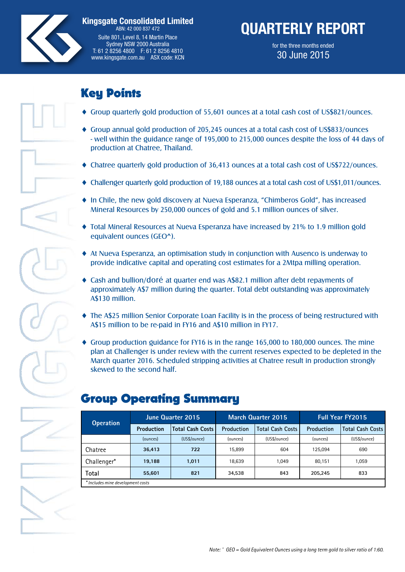

**Kingsgate Consolidated Limited** ABN: 42 000 837 472 Suite 801, Level 8, 14 Martin Place Sydney NSW 2000 Australia T: 61 2 8256 4800 F: 61 2 8256 4810 www.kingsgate.com.au ASX code: KCN

# **QUARTERLY REPORT**

for the three months ended 30 June 2015

### Key Points Group quarterly gold production of 55,601 ounces at a total cash cost of US\$821/ounces. Key Points

- Group quarterly gold production of 55,601 ounces at a total cash cost of US\$821/ounces.
- ♦ Group annual gold production of 205,245 ounces at a total cash cost of US\$833/ounces - well within the guidance range of 195,000 to 215,000 ounces despite the loss of 44 days of production at Chatree, Thailand.
- Chatree quarterly gold production of 36,413 ounces at a total cash cost of US\$722/ounces.
- Challenger quarterly gold production of 19,188 ounces at a total cash cost of US\$1,011/ounces.
- ♦ In Chile, the new gold discovery at Nueva Esperanza, "Chimberos Gold", has increased Mineral Resources by 250,000 ounces of gold and 5.1 million ounces of silver.
- $\blacklozenge$  Total Mineral Resources at Nueva Esperanza have increased by 21% to 1.9 million gold equivalent ounces (GEO^).
- $\blacklozenge$  At Nueva Esperanza, an optimisation study in conjunction with Ausenco is underway to provide indicative capital and operating cost estimates for a 2Mtpa milling operation.
- ♦ Cash and bullion/doré at quarter end was A\$82.1 million after debt repayments of approximately A\$7 million during the quarter. Total debt outstanding was approximately A\$130 million.
- $\blacklozenge$  The A\$25 million Senior Corporate Loan Facility is in the process of being restructured with A\$15 million to be re-paid in FY16 and A\$10 million in FY17.
- ♦ Group production guidance for FY16 is in the range 165,000 to 180,000 ounces. The mine plan at Challenger is under review with the current reserves expected to be depleted in the March quarter 2016. Scheduled stripping activities at Chatree result in production strongly skewed to the second half.

| <b>Operation</b>                  |                   | <b>June Quarter 2015</b> |            | March Quarter 2015      | <b>Full Year FY2015</b> |                         |  |  |
|-----------------------------------|-------------------|--------------------------|------------|-------------------------|-------------------------|-------------------------|--|--|
|                                   | <b>Production</b> | <b>Total Cash Costs</b>  | Production | <b>Total Cash Costs</b> | Production              | <b>Total Cash Costs</b> |  |  |
|                                   | (ounces)          | (US\$/ounce)             | (ounces)   | (US\$/ounce)            | (ounces)                | (US\$/ounce)            |  |  |
| Chatree                           | 36.413            | 722                      | 15,899     | 604                     | 125,094                 | 690                     |  |  |
| Challenger*                       | 19.188            | 1.011                    | 18,639     | 1.049                   | 80.151                  | 1.059                   |  |  |
| Total                             | 55,601            | 821                      | 34.538     | 843                     | 205.245                 | 833                     |  |  |
| * Includes mine development costs |                   |                          |            |                         |                         |                         |  |  |

### Group Operating Summary Group Operating Summary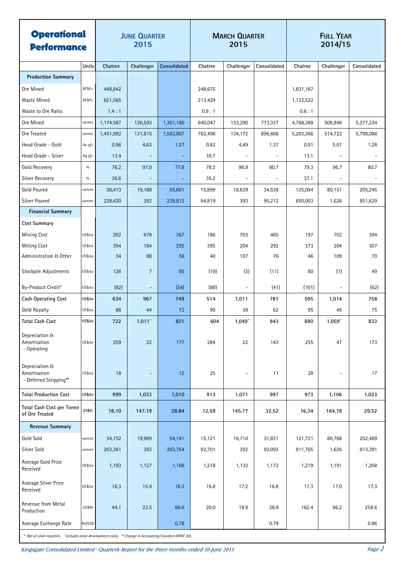| <b>Operational</b><br><b>Performance</b>                 |               | <b>JUNE QUARTER</b><br>2015 |                          | <b>MARCH QUARTER</b><br>2015 |         |                          | <b>FULL YEAR</b><br>2014/15 |           |                          |              |
|----------------------------------------------------------|---------------|-----------------------------|--------------------------|------------------------------|---------|--------------------------|-----------------------------|-----------|--------------------------|--------------|
|                                                          | Units         | Chatree                     | Challenger               | Consolidated                 | Chatree | Challenger               | Consolidated                | Chatree   | Challenger               | Consolidated |
| <b>Production Summary</b>                                |               |                             |                          |                              |         |                          |                             |           |                          |              |
| Ore Mined                                                | BCM's         | 448,842                     |                          |                              | 248,675 |                          |                             | 1,831,187 |                          |              |
| Waste Mined                                              | BCM's         | 621,565                     |                          |                              | 213,429 |                          |                             | 1,132,522 |                          |              |
| Waste to Ore Ratio                                       |               | 1.4:1                       |                          |                              | 0.9:1   |                          |                             | 0.6:1     |                          |              |
| Ore Mined                                                | tonnes        | 1,174,587                   | 126,593                  | 1,301,180                    | 640,047 | 133,290                  | 773,337                     | 4,768,388 | 508,846                  | 5,277,234    |
| Ore Treated                                              | tonnes        | 1,451,992                   | 131,815                  | 1,583,807                    | 762,496 | 134,172                  | 896,668                     | 5,283,366 | 514,722                  | 5,798,088    |
| Head Grade - Gold                                        | Au g/t        | 0.96                        | 4.63                     | 1.27                         | 0.82    | 4.49                     | 1.37                        | 0.91      | 5.01                     | 1.28         |
| Head Grade - Silver                                      | Ag g/t        | 13.4                        | $\overline{\phantom{a}}$ | $\equiv$                     | 10.7    | $\overline{\phantom{a}}$ | $\overline{\phantom{a}}$    | 13.1      | $\blacksquare$           |              |
| <b>Gold Recovery</b>                                     | $0/0$         | 76.2                        | 97.0                     | 77.8                         | 78.2    | 96.9                     | 80.7                        | 79.3      | 96.7                     | 80.7         |
| <b>Silver Recovery</b>                                   | $\frac{0}{0}$ | 36.6                        |                          | $\overline{\phantom{a}}$     | 35.2    |                          |                             | 37.1      |                          |              |
| <b>Gold Poured</b>                                       | ounces        | 36,413                      | 19,188                   | 55,601                       | 15,899  | 18,639                   | 34,538                      | 125,094   | 80,151                   | 205,245      |
| Silver Poured                                            | ounces        | 238,420                     | 392                      | 238,812                      | 94,819  | 393                      | 95,212                      | 850,003   | 1,626                    | 851,629      |
| <b>Financial Summary</b>                                 |               |                             |                          |                              |         |                          |                             |           |                          |              |
| <b>Cost Summary</b>                                      |               |                             |                          |                              |         |                          |                             |           |                          |              |
| <b>Mining Cost</b>                                       | US\$/oz       | 202                         | 678                      | 367                          | 186     | 703                      | 465                         | 197       | 702                      | 394          |
| <b>Milling Cost</b>                                      | US\$/oz       | 354                         | 184                      | 295                          | 395     | 204                      | 292                         | 373       | 204                      | 307          |
| Administration & Other                                   | US\$/oz       | 34                          | 98                       | 56                           | 40      | 107                      | 76                          | 46        | 109                      | 70           |
| Stockpile Adjustments                                    | US\$/oz       | 126                         | $\overline{7}$           | 85                           | (19)    | $(3)$                    | (11)                        | 80        | (1)                      | 49           |
| By-Product Credit*                                       | US\$/oz       | (82)                        | $\overline{\phantom{a}}$ | (54)                         | (88)    | $\equiv$                 | (41)                        | (101)     |                          | (62)         |
| Cash Operating Cost                                      | US\$/oz       | 634                         | 967                      | 749                          | 514     | 1,011                    | 781                         | 595       | 1,014                    | 758          |
| <b>Gold Royalty</b>                                      | US\$/oz       | 88                          | 44                       | 72                           | 90      | 38                       | 62                          | 95        | 45                       | 75           |
| <b>Total Cash Cost</b>                                   | US\$/oz       | 722                         | $1,011^{\circ}$          | 821                          | 604     | 1,049^                   | 843                         | 690       | 1,059^                   | 833          |
| Depreciation &<br>Amortisation<br>- Operating            | US\$/oz       | 259                         | 22                       | 177                          | 284     | 22                       | 143                         | 255       | 47                       | 173          |
| Depreciation &<br>Amortisation<br>- Deferred Stripping** | US\$/oz       | 18                          | $\overline{\phantom{a}}$ | 12                           | 25      | $\overline{\phantom{a}}$ | 11                          | 28        | $\overline{\phantom{a}}$ | 17           |
| <b>Total Production Cost</b>                             | US\$/oz       | 999                         | 1,033                    | 1,010                        | 913     | 1,071                    | 997                         | 973       | 1,106                    | 1,023        |
| Total Cash Cost per Tonne<br>of Ore Treated              | US\$/t        | 18.10                       | 147.19                   | 28.84                        | 12.59   | 145.77                   | 32.52                       | 16.34     | 164.78                   | 29.52        |
| <b>Revenue Summary</b>                                   |               |                             |                          |                              |         |                          |                             |           |                          |              |
| Gold Sold                                                | ounces        | 34,152                      | 19,989                   | 54,141                       | 15,121  | 16,710                   | 31,831                      | 121,721   | 80,768                   | 202,489      |
| Silver Sold                                              | ounces        | 203,361                     | 393                      | 203,754                      | 92,701  | 392                      | 93,093                      | 811,765   | 1,626                    | 813,391      |
| Average Gold Price<br>Received                           | US\$/oz       | 1,193                       | 1,127                    | 1,168                        | 1,218   | 1,132                    | 1,172                       | 1,219     | 1,191                    | 1,208        |
| Average Silver Price<br>Received                         | US\$/oz       | 16.3                        | 15.4                     | 16.3                         | 16.8    | 17.2                     | 16.8                        | 17.3      | 17.0                     | 17.3         |
| Revenue from Metal<br>Production                         | US\$M         | 44.1                        | 22.5                     | 66.6                         | 20.0    | 18.9                     | 38.9                        | 162.4     | 96.2                     | 258.6        |
| Average Exchange Rate                                    | \$A/US\$      |                             |                          | 0.78                         |         |                          | 0.79                        |           |                          | 0.86         |

*\* Net of silver royalties. ^ Includes mine development costs. \*\* Change in Accounting Standard (IFRIC 20).*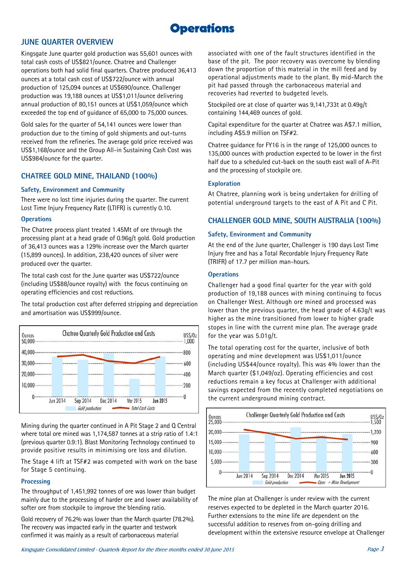

### JUNE QUARTER OVERVIEW

Kingsgate June quarter gold production was 55,601 ounces with total cash costs of US\$821/ounce. Chatree and Challenger operations both had solid final quarters. Chatree produced 36,413 ounces at a total cash cost of US\$722/ounce with annual production of 125,094 ounces at US\$690/ounce. Challenger production was 19,188 ounces at US\$1,011/ounce delivering annual production of 80,151 ounces at US\$1,059/ounce which exceeded the top end of guidance of 65,000 to 75,000 ounces.

Gold sales for the quarter of 54,141 ounces were lower than production due to the timing of gold shipments and out-turns received from the refineries. The average gold price received was US\$1,168/ounce and the Group All-in Sustaining Cash Cost was US\$984/ounce for the quarter.

### CHATREE GOLD MINE, THAILAND (100%)

### Safety, Environment and Community

There were no lost time injuries during the quarter. The current Lost Time Injury Frequency Rate (LTIFR) is currently 0.10.

### **Operations**

The Chatree process plant treated 1.45Mt of ore through the processing plant at a head grade of 0.96g/t gold. Gold production of 36,413 ounces was a 129% increase over the March quarter (15,899 ounces). In addition, 238,420 ounces of silver were produced over the quarter.

The total cash cost for the June quarter was US\$722/ounce (including US\$88/ounce royalty) with the focus continuing on operating efficiencies and cost reductions.

The total production cost after deferred stripping and depreciation and amortisation was US\$999/ounce.



Mining during the quarter continued in A Pit Stage 2 and Q Central where total ore mined was 1,174,587 tonnes at a strip ratio of 1.4:1 (previous quarter 0.9:1). Blast Monitoring Technology continued to provide positive results in minimising ore loss and dilution.

The Stage 4 lift at TSF#2 was competed with work on the base for Stage 5 continuing.

### **Processing**

The throughput of 1,451,992 tonnes of ore was lower than budget mainly due to the processing of harder ore and lower availability of softer ore from stockpile to improve the blending ratio.

Gold recovery of 76.2% was lower than the March quarter (78.2%). The recovery was impacted early in the quarter and testwork confirmed it was mainly as a result of carbonaceous material

associated with one of the fault structures identified in the base of the pit. The poor recovery was overcome by blending down the proportion of this material in the mill feed and by operational adjustments made to the plant. By mid-March the pit had passed through the carbonaceous material and recoveries had reverted to budgeted levels.

Stockpiled ore at close of quarter was 9,141,733t at 0.49g/t containing 144,469 ounces of gold.

Capital expenditure for the quarter at Chatree was A\$7.1 million, including A\$5.9 million on TSF#2.

Chatree guidance for FY16 is in the range of 125,000 ounces to 135,000 ounces with production expected to be lower in the first half due to a scheduled cut-back on the south east wall of A-Pit and the processing of stockpile ore.

### **Exploration**

At Chatree, planning work is being undertaken for drilling of potential underground targets to the east of A Pit and C Pit.

### CHALLENGER GOLD MINE, SOUTH AUSTRALIA (100%)

### Safety, Environment and Community

At the end of the June quarter, Challenger is 190 days Lost Time Injury free and has a Total Recordable Injury Frequency Rate (TRIFR) of 17.7 per million man-hours.

### **Operations**

Challenger had a good final quarter for the year with gold production of 19,188 ounces with mining continuing to focus on Challenger West. Although ore mined and processed was lower than the previous quarter, the head grade of 4.63g/t was higher as the mine transitioned from lower to higher grade stopes in line with the current mine plan. The average grade for the year was 5.01g/t.

The total operating cost for the quarter, inclusive of both operating and mine development was US\$1,011/ounce (including US\$44/ounce royalty). This was 4% lower than the March quarter (\$1,049/oz). Operating efficiencies and cost reductions remain a key focus at Challenger with additional savings expected from the recently completed negotiations on the current underground mining contract.



The mine plan at Challenger is under review with the current reserves expected to be depleted in the March quarter 2016. Further extensions to the mine life are dependent on the successful addition to reserves from on-going drilling and development within the extensive resource envelope at Challenger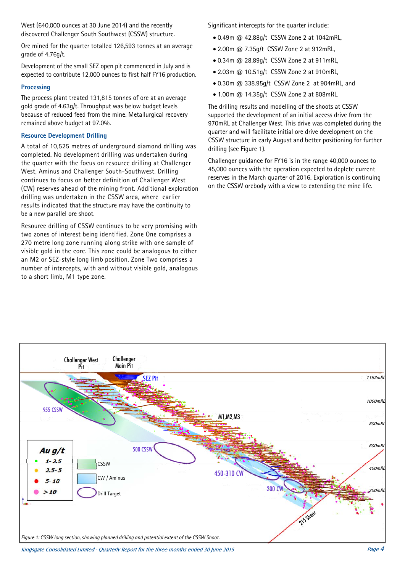West (640,000 ounces at 30 June 2014) and the recently discovered Challenger South Southwest (CSSW) structure.

Ore mined for the quarter totalled 126,593 tonnes at an average grade of 4.76g/t.

Development of the small SEZ open pit commenced in July and is expected to contribute 12,000 ounces to first half FY16 production.

### **Processing**

The process plant treated 131,815 tonnes of ore at an average gold grade of 4.63g/t. Throughput was below budget levels because of reduced feed from the mine. Metallurgical recovery remained above budget at 97.0%.

### Resource Development Drilling

A total of 10,525 metres of underground diamond drilling was completed. No development drilling was undertaken during the quarter with the focus on resource drilling at Challenger West, Aminus and Challenger South-Southwest. Drilling continues to focus on better definition of Challenger West (CW) reserves ahead of the mining front. Additional exploration drilling was undertaken in the CSSW area, where earlier results indicated that the structure may have the continuity to be a new parallel ore shoot.

Resource drilling of CSSW continues to be very promising with two zones of interest being identified. Zone One comprises a 270 metre long zone running along strike with one sample of visible gold in the core. This zone could be analogous to either an M2 or SEZ-style long limb position. Zone Two comprises a number of intercepts, with and without visible gold, analogous to a short limb, M1 type zone.

Significant intercepts for the quarter include:

- 0.49m @ 42.88g/t CSSW Zone 2 at 1042mRL,
- 2.00m @ 7.35g/t CSSW Zone 2 at 912mRL,
- 0.34m @ 28.89g/t CSSW Zone 2 at 911mRL,
- 2.03m @ 10.51g/t CSSW Zone 2 at 910mRL,
- 0.30m @ 338.95g/t CSSW Zone 2 at 904mRL, and
- 1.00m @ 14.35g/t CSSW Zone 2 at 808mRL.

The drilling results and modelling of the shoots at CSSW supported the development of an initial access drive from the 970mRL at Challenger West. This drive was completed during the quarter and will facilitate initial ore drive development on the CSSW structure in early August and better positioning for further drilling (see Figure 1).

Challenger guidance for FY16 is in the range 40,000 ounces to 45,000 ounces with the operation expected to deplete current reserves in the March quarter of 2016. Exploration is continuing on the CSSW orebody with a view to extending the mine life.



Kingsgate Consolidated Limited - Quarterly Report for the three months ended 30 June 2015 Page 4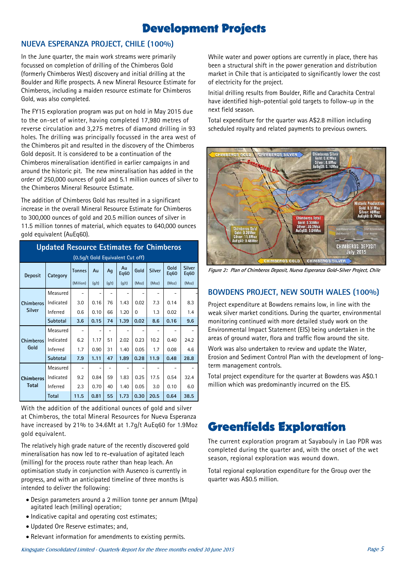## Development Projects

### NUEVA ESPERANZA PROJECT, CHILE (100%)

In the June quarter, the main work streams were primarily focussed on completion of drilling of the Chimberos Gold (formerly Chimberos West) discovery and initial drilling at the Boulder and Rifle prospects. A new Mineral Resource Estimate for Chimberos, including a maiden resource estimate for Chimberos Gold, was also completed.

The FY15 exploration program was put on hold in May 2015 due to the on-set of winter, having completed 17,980 metres of reverse circulation and 3,275 metres of diamond drilling in 93 holes. The drilling was principally focussed in the area west of the Chimberos pit and resulted in the discovery of the Chimberos Gold deposit. It is considered to be a continuation of the Chimberos mineralisation identified in earlier campaigns in and around the historic pit. The new mineralisation has added in the order of 250,000 ounces of gold and 5.1 million ounces of silver to the Chimberos Mineral Resource Estimate.

The addition of Chimberos Gold has resulted in a significant increase in the overall Mineral Resource Estimate for Chimberos to 300,000 ounces of gold and 20.5 million ounces of silver in 11.5 million tonnes of material, which equates to 640,000 ounces gold equivalent (AuEq60).

| <b>Updated Resource Estimates for Chimberos</b> |           |               |       |       |            |          |        |                          |                       |  |
|-------------------------------------------------|-----------|---------------|-------|-------|------------|----------|--------|--------------------------|-----------------------|--|
| (0.5q/t Gold Equivalent Cut off)                |           |               |       |       |            |          |        |                          |                       |  |
| <b>Deposit</b>                                  | Category  | <b>Tonnes</b> | Au    | Aq    | Au<br>Eq60 | Gold     | Silver | Gold<br>Eq <sub>60</sub> | <b>Silver</b><br>Eq60 |  |
|                                                 |           | (Million)     | (q/t) | (g/t) | (g/t)      | (Moz)    | (Moz)  | (Moz)                    | (Moz)                 |  |
| <b>Chimberos</b><br><b>Silver</b>               | Measured  |               |       |       |            |          |        |                          |                       |  |
|                                                 | Indicated | 3.0           | 0.16  | 76    | 1.43       | 0.02     | 7.3    | 0.14                     | 8.3                   |  |
|                                                 | Inferred  | 0.6           | 0.10  | 66    | 1.20       | $\Omega$ | 1.3    | 0.02                     | 1.4                   |  |
|                                                 | Subtotal  | 3.6           | 0.15  | 74    | 1.39       | 0.02     | 8.6    | 0.16                     | 9.6                   |  |
| <b>Chimberos</b><br>Gold                        | Measured  |               |       |       |            |          |        |                          |                       |  |
|                                                 | Indicated | 6.2           | 1.17  | 51    | 2.02       | 0.23     | 10.2   | 0.40                     | 24.2                  |  |
|                                                 | Inferred  | 1.7           | 0.90  | 31    | 1.40       | 0.05     | 1.7    | 0.08                     | 4.6                   |  |
|                                                 | Subtotal  | 7.9           | 1.11  | 47    | 1.89       | 0.28     | 11.9   | 0.48                     | 28.8                  |  |
| <b>Chimberos</b><br><b>Total</b>                | Measured  |               |       |       |            |          |        |                          |                       |  |
|                                                 | Indicated | 9.2           | 0.84  | 59    | 1.83       | 0.25     | 17.5   | 0.54                     | 32.4                  |  |
|                                                 | Inferred  | 2.3           | 0.70  | 40    | 1.40       | 0.05     | 3.0    | 0.10                     | 6.0                   |  |
|                                                 | Total     | 11.5          | 0.81  | 55    | 1.73       | 0.30     | 20.5   | 0.64                     | 38.5                  |  |

With the addition of the additional ounces of gold and silver at Chimberos, the total Mineral Resources for Nueva Esperanza have increased by 21% to 34.6Mt at 1.7g/t AuEq60 for 1.9Moz gold equivalent.

The relatively high grade nature of the recently discovered gold mineralisation has now led to re-evaluation of agitated leach (milling) for the process route rather than heap leach. An optimisation study in conjunction with Ausenco is currently in progress, and with an anticipated timeline of three months is intended to deliver the following:

- Design parameters around a 2 million tonne per annum (Mtpa) agitated leach (milling) operation;
- $\bullet$  Indicative capital and operating cost estimates;
- Updated Ore Reserve estimates; and,
- Relevant information for amendments to existing permits.

While water and power options are currently in place, there has been a structural shift in the power generation and distribution market in Chile that is anticipated to significantly lower the cost of electricity for the project.

Initial drilling results from Boulder, Rifle and Carachita Central have identified high-potential gold targets to follow-up in the next field season.

Total expenditure for the quarter was A\$2.8 million including scheduled royalty and related payments to previous owners.



**Figure 2: Plan of Chimberos Deposit, Nueva Esperanza Gold-Silver Project, Chile** 

### BOWDENS PROJECT, NEW SOUTH WALES (100%)

Project expenditure at Bowdens remains low, in line with the weak silver market conditions. During the quarter, environmental monitoring continued with more detailed study work on the Environmental Impact Statement (EIS) being undertaken in the areas of ground water, flora and traffic flow around the site.

Work was also undertaken to review and update the Water, Erosion and Sediment Control Plan with the development of longterm management controls.

Total project expenditure for the quarter at Bowdens was A\$0.1 million which was predominantly incurred on the EIS.

## Greenfields Exploration

The current exploration program at Sayabouly in Lao PDR was completed during the quarter and, with the onset of the wet season, regional exploration was wound down.

Total regional exploration expenditure for the Group over the quarter was A\$0.5 million.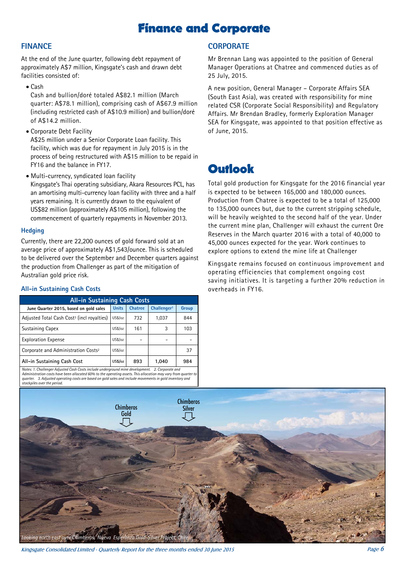## Finance and Corporate

### FINANCE

At the end of the June quarter, following debt repayment of approximately A\$7 million, Kingsgate's cash and drawn debt facilities consisted of:

Cash

Cash and bullion/doré totaled A\$82.1 million (March quarter: A\$78.1 million), comprising cash of A\$67.9 million (including restricted cash of A\$10.9 million) and bullion/doré of A\$14.2 million.

Corporate Debt Facility

A\$25 million under a Senior Corporate Loan facility. This facility, which was due for repayment in July 2015 is in the process of being restructured with A\$15 million to be repaid in FY16 and the balance in FY17.

Multi-currency, syndicated loan facility Kingsgate's Thai operating subsidiary, Akara Resources PCL, has an amortising multi-currency loan facility with three and a half years remaining. It is currently drawn to the equivalent of US\$82 million (approximately A\$105 million), following the commencement of quarterly repayments in November 2013.

### **Hedging**

Currently, there are 22,200 ounces of gold forward sold at an average price of approximately A\$1,543/ounce. This is scheduled to be delivered over the September and December quarters against the production from Challenger as part of the mitigation of Australian gold price risk.

### All-in Sustaining Cash Costs

| <b>All-in Sustaining Cash Costs</b>                                                                |              |                |                         |       |  |  |  |  |  |  |
|----------------------------------------------------------------------------------------------------|--------------|----------------|-------------------------|-------|--|--|--|--|--|--|
| June Quarter 2015, based on gold sales                                                             | <b>Units</b> | <b>Chatree</b> | Challenger <sup>1</sup> | Group |  |  |  |  |  |  |
| Adjusted Total Cash Cost <sup>3</sup> (incl royalties)                                             | US\$/oz      | 732            | 1.037                   | 844   |  |  |  |  |  |  |
| <b>Sustaining Capex</b>                                                                            | US\$/oz      | 161            | 3                       | 103   |  |  |  |  |  |  |
| <b>Exploration Expense</b>                                                                         | US\$/oz      |                |                         |       |  |  |  |  |  |  |
| Corporate and Administration Costs <sup>2</sup>                                                    | US\$/oz      |                |                         | 37    |  |  |  |  |  |  |
| All-in Sustaining Cash Cost                                                                        | US\$/oz      | 893            | 1.040                   | 984   |  |  |  |  |  |  |
| Notes: 1. Challenger Adjusted Cash Costs include underground mine development.<br>2. Corporate and |              |                |                         |       |  |  |  |  |  |  |

*Notes: 1. Challenger Adjusted Cash Costs include underground mine development. 2. Corporate and Administration costs have been allocated 60% to the operating assets. This allocation may vary from quarter to quarter. 3. Adjusted operating costs are based on gold sales and include movements in gold inventory and stockpiles over the period.* 

## **CORPORATE**

Mr Brennan Lang was appointed to the position of General Manager Operations at Chatree and commenced duties as of 25 July, 2015.

A new position, General Manager – Corporate Affairs SEA (South East Asia), was created with responsibility for mine related CSR (Corporate Social Responsibility) and Regulatory Affairs. Mr Brendan Bradley, formerly Exploration Manager SEA for Kingsgate, was appointed to that position effective as of June, 2015.

## **Outlook**

Total gold production for Kingsgate for the 2016 financial year is expected to be between 165,000 and 180,000 ounces. Production from Chatree is expected to be a total of 125,000 to 135,000 ounces but, due to the current stripping schedule, will be heavily weighted to the second half of the year. Under the current mine plan, Challenger will exhaust the current Ore Reserves in the March quarter 2016 with a total of 40,000 to 45,000 ounces expected for the year. Work continues to explore options to extend the mine life at Challenger

Kingsgate remains focused on continuous improvement and operating efficiencies that complement ongoing cost saving initiatives. It is targeting a further 20% reduction in overheads in FY16.



Kingsgate Consolidated Limited - Quarterly Report for the three months ended 30 June 2015  $P$ age 6